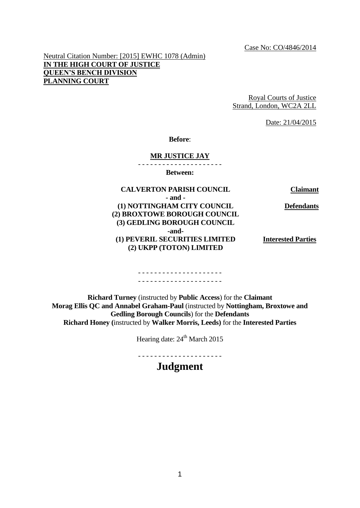Neutral Citation Number: [2015] EWHC 1078 (Admin) **IN THE HIGH COURT OF JUSTICE QUEEN'S BENCH DIVISION PLANNING COURT**

> Royal Courts of Justice Strand, London, WC2A 2LL

> > Date: 21/04/2015

**Before**:

#### **MR JUSTICE JAY**

- - - - - - - - - - - - - - - - - - - - -

**Between:**

**CALVERTON PARISH COUNCIL Claimant - and - (1) NOTTINGHAM CITY COUNCIL (2) BROXTOWE BOROUGH COUNCIL (3) GEDLING BOROUGH COUNCIL -and- (1) PEVERIL SECURITIES LIMITED (2) UKPP (TOTON) LIMITED Defendants Interested Parties**

#### - - - - - - - - - - - - - - - - - - - - - - - - - - - - - - - - - - - - - - - - - -

**Richard Turney** (instructed by **Public Access**) for the **Claimant Morag Ellis QC and Annabel Graham-Paul** (instructed by **Nottingham, Broxtowe and Gedling Borough Councils**) for the **Defendants Richard Honey (**instructed by **Walker Morris, Leeds)** for the **Interested Parties**

Hearing date:  $24<sup>th</sup>$  March 2015

- - - - - - - - - - - - - - - - - - - - -

**Judgment**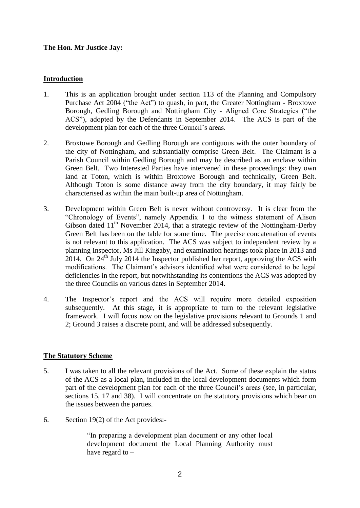# **The Hon. Mr Justice Jay:**

# **Introduction**

- 1. This is an application brought under section 113 of the Planning and Compulsory Purchase Act 2004 ("the Act") to quash, in part, the Greater Nottingham - Broxtowe Borough, Gedling Borough and Nottingham City - Aligned Core Strategies ("the ACS"), adopted by the Defendants in September 2014. The ACS is part of the development plan for each of the three Council's areas.
- 2. Broxtowe Borough and Gedling Borough are contiguous with the outer boundary of the city of Nottingham, and substantially comprise Green Belt. The Claimant is a Parish Council within Gedling Borough and may be described as an enclave within Green Belt. Two Interested Parties have intervened in these proceedings: they own land at Toton, which is within Broxtowe Borough and technically, Green Belt. Although Toton is some distance away from the city boundary, it may fairly be characterised as within the main built-up area of Nottingham.
- 3. Development within Green Belt is never without controversy. It is clear from the "Chronology of Events", namely Appendix 1 to the witness statement of Alison Gibson dated  $11<sup>th</sup>$  November 2014, that a strategic review of the Nottingham-Derby Green Belt has been on the table for some time. The precise concatenation of events is not relevant to this application. The ACS was subject to independent review by a planning Inspector, Ms Jill Kingaby, and examination hearings took place in 2013 and 2014. On  $24<sup>th</sup>$  July 2014 the Inspector published her report, approving the ACS with modifications. The Claimant's advisors identified what were considered to be legal deficiencies in the report, but notwithstanding its contentions the ACS was adopted by the three Councils on various dates in September 2014.
- 4. The Inspector's report and the ACS will require more detailed exposition subsequently. At this stage, it is appropriate to turn to the relevant legislative framework. I will focus now on the legislative provisions relevant to Grounds 1 and 2; Ground 3 raises a discrete point, and will be addressed subsequently.

## **The Statutory Scheme**

- 5. I was taken to all the relevant provisions of the Act. Some of these explain the status of the ACS as a local plan, included in the local development documents which form part of the development plan for each of the three Council's areas (see, in particular, sections 15, 17 and 38). I will concentrate on the statutory provisions which bear on the issues between the parties.
- 6. Section 19(2) of the Act provides:-

"In preparing a development plan document or any other local development document the Local Planning Authority must have regard to –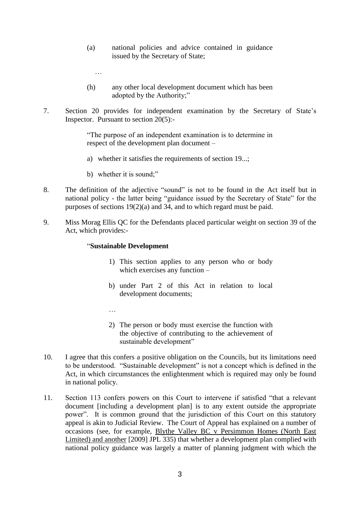- (a) national policies and advice contained in guidance issued by the Secretary of State;
- (h) any other local development document which has been adopted by the Authority;"
- 7. Section 20 provides for independent examination by the Secretary of State's Inspector. Pursuant to section 20(5):-

"The purpose of an independent examination is to determine in respect of the development plan document –

- a) whether it satisfies the requirements of section 19...;
- b) whether it is sound;"

…

- 8. The definition of the adjective "sound" is not to be found in the Act itself but in national policy - the latter being "guidance issued by the Secretary of State" for the purposes of sections 19(2)(a) and 34, and to which regard must be paid.
- 9. Miss Morag Ellis QC for the Defendants placed particular weight on section 39 of the Act, which provides:-

#### "**Sustainable Development**

- 1) This section applies to any person who or body which exercises any function –
- b) under Part 2 of this Act in relation to local development documents;
- …
- 2) The person or body must exercise the function with the objective of contributing to the achievement of sustainable development"
- 10. I agree that this confers a positive obligation on the Councils, but its limitations need to be understood. "Sustainable development" is not a concept which is defined in the Act, in which circumstances the enlightenment which is required may only be found in national policy.
- 11. Section 113 confers powers on this Court to intervene if satisfied "that a relevant document [including a development plan] is to any extent outside the appropriate power". It is common ground that the jurisdiction of this Court on this statutory appeal is akin to Judicial Review. The Court of Appeal has explained on a number of occasions (see, for example, Blythe Valley BC v Persimmon Homes (North East Limited) and another [2009] JPL 335) that whether a development plan complied with national policy guidance was largely a matter of planning judgment with which the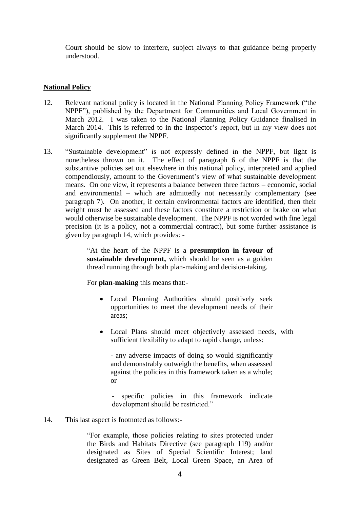Court should be slow to interfere, subject always to that guidance being properly understood.

# **National Policy**

- 12. Relevant national policy is located in the National Planning Policy Framework ("the NPPF"), published by the Department for Communities and Local Government in March 2012. I was taken to the National Planning Policy Guidance finalised in March 2014. This is referred to in the Inspector's report, but in my view does not significantly supplement the NPPF.
- 13. "Sustainable development" is not expressly defined in the NPPF, but light is nonetheless thrown on it. The effect of paragraph 6 of the NPPF is that the substantive policies set out elsewhere in this national policy, interpreted and applied compendiously, amount to the Government's view of what sustainable development means. On one view, it represents a balance between three factors – economic, social and environmental – which are admittedly not necessarily complementary (see paragraph 7). On another, if certain environmental factors are identified, then their weight must be assessed and these factors constitute a restriction or brake on what would otherwise be sustainable development. The NPPF is not worded with fine legal precision (it is a policy, not a commercial contract), but some further assistance is given by paragraph 14, which provides: -

"At the heart of the NPPF is a **presumption in favour of sustainable development,** which should be seen as a golden thread running through both plan-making and decision-taking.

For **plan-making** this means that:-

- Local Planning Authorities should positively seek opportunities to meet the development needs of their areas;
- Local Plans should meet objectively assessed needs, with sufficient flexibility to adapt to rapid change, unless:

- any adverse impacts of doing so would significantly and demonstrably outweigh the benefits, when assessed against the policies in this framework taken as a whole; or

specific policies in this framework indicate development should be restricted."

14. This last aspect is footnoted as follows:-

"For example, those policies relating to sites protected under the Birds and Habitats Directive (see paragraph 119) and/or designated as Sites of Special Scientific Interest; land designated as Green Belt, Local Green Space, an Area of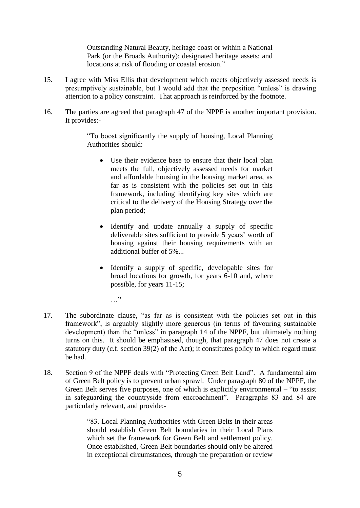Outstanding Natural Beauty, heritage coast or within a National Park (or the Broads Authority); designated heritage assets; and locations at risk of flooding or coastal erosion."

- 15. I agree with Miss Ellis that development which meets objectively assessed needs is presumptively sustainable, but I would add that the preposition "unless" is drawing attention to a policy constraint. That approach is reinforced by the footnote.
- 16. The parties are agreed that paragraph 47 of the NPPF is another important provision. It provides:-

"To boost significantly the supply of housing, Local Planning Authorities should:

- Use their evidence base to ensure that their local plan meets the full, objectively assessed needs for market and affordable housing in the housing market area, as far as is consistent with the policies set out in this framework, including identifying key sites which are critical to the delivery of the Housing Strategy over the plan period;
- Identify and update annually a supply of specific deliverable sites sufficient to provide 5 years' worth of housing against their housing requirements with an additional buffer of 5%...
- Identify a supply of specific, developable sites for broad locations for growth, for years 6-10 and, where possible, for years 11-15;
- 17. The subordinate clause, "as far as is consistent with the policies set out in this framework", is arguably slightly more generous (in terms of favouring sustainable development) than the "unless" in paragraph 14 of the NPPF, but ultimately nothing turns on this. It should be emphasised, though, that paragraph 47 does not create a statutory duty (c.f. section 39(2) of the Act); it constitutes policy to which regard must be had.

…"

18. Section 9 of the NPPF deals with "Protecting Green Belt Land". A fundamental aim of Green Belt policy is to prevent urban sprawl. Under paragraph 80 of the NPPF, the Green Belt serves five purposes, one of which is explicitly environmental – "to assist in safeguarding the countryside from encroachment". Paragraphs 83 and 84 are particularly relevant, and provide:-

> "83. Local Planning Authorities with Green Belts in their areas should establish Green Belt boundaries in their Local Plans which set the framework for Green Belt and settlement policy. Once established, Green Belt boundaries should only be altered in exceptional circumstances, through the preparation or review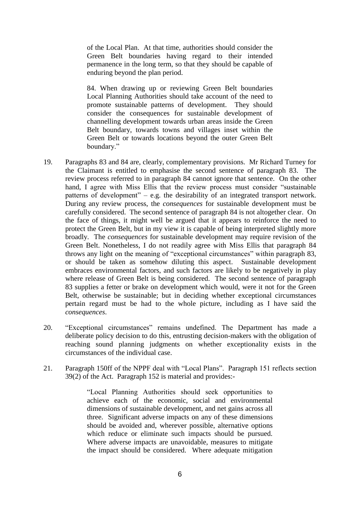of the Local Plan. At that time, authorities should consider the Green Belt boundaries having regard to their intended permanence in the long term, so that they should be capable of enduring beyond the plan period.

84. When drawing up or reviewing Green Belt boundaries Local Planning Authorities should take account of the need to promote sustainable patterns of development. They should consider the consequences for sustainable development of channelling development towards urban areas inside the Green Belt boundary, towards towns and villages inset within the Green Belt or towards locations beyond the outer Green Belt boundary."

- 19. Paragraphs 83 and 84 are, clearly, complementary provisions. Mr Richard Turney for the Claimant is entitled to emphasise the second sentence of paragraph 83. The review process referred to in paragraph 84 cannot ignore that sentence. On the other hand, I agree with Miss Ellis that the review process must consider "sustainable patterns of development" – e.g. the desirability of an integrated transport network. During any review process, the *consequences* for sustainable development must be carefully considered. The second sentence of paragraph 84 is not altogether clear. On the face of things, it might well be argued that it appears to reinforce the need to protect the Green Belt, but in my view it is capable of being interpreted slightly more broadly. The *consequences* for sustainable development may require revision of the Green Belt. Nonetheless, I do not readily agree with Miss Ellis that paragraph 84 throws any light on the meaning of "exceptional circumstances" within paragraph 83, or should be taken as somehow diluting this aspect. Sustainable development embraces environmental factors, and such factors are likely to be negatively in play where release of Green Belt is being considered. The second sentence of paragraph 83 supplies a fetter or brake on development which would, were it not for the Green Belt, otherwise be sustainable; but in deciding whether exceptional circumstances pertain regard must be had to the whole picture, including as I have said the *consequences*.
- 20. "Exceptional circumstances" remains undefined. The Department has made a deliberate policy decision to do this, entrusting decision-makers with the obligation of reaching sound planning judgments on whether exceptionality exists in the circumstances of the individual case.
- 21. Paragraph 150ff of the NPPF deal with "Local Plans". Paragraph 151 reflects section 39(2) of the Act. Paragraph 152 is material and provides:-

"Local Planning Authorities should seek opportunities to achieve each of the economic, social and environmental dimensions of sustainable development, and net gains across all three. Significant adverse impacts on any of these dimensions should be avoided and, wherever possible, alternative options which reduce or eliminate such impacts should be pursued. Where adverse impacts are unavoidable, measures to mitigate the impact should be considered. Where adequate mitigation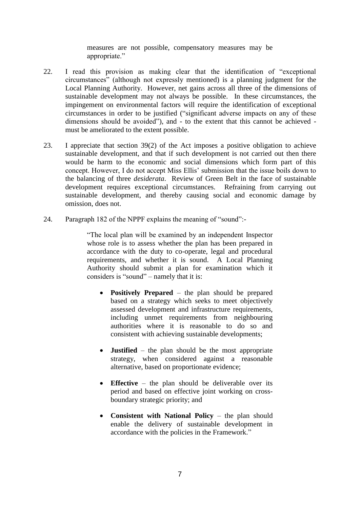measures are not possible, compensatory measures may be appropriate."

- 22. I read this provision as making clear that the identification of "exceptional circumstances" (although not expressly mentioned) is a planning judgment for the Local Planning Authority. However, net gains across all three of the dimensions of sustainable development may not always be possible. In these circumstances, the impingement on environmental factors will require the identification of exceptional circumstances in order to be justified ("significant adverse impacts on any of these dimensions should be avoided"), and - to the extent that this cannot be achieved must be ameliorated to the extent possible.
- 23. I appreciate that section 39(2) of the Act imposes a positive obligation to achieve sustainable development, and that if such development is not carried out then there would be harm to the economic and social dimensions which form part of this concept. However, I do not accept Miss Ellis' submission that the issue boils down to the balancing of three *desiderata*. Review of Green Belt in the face of sustainable development requires exceptional circumstances. Refraining from carrying out sustainable development, and thereby causing social and economic damage by omission, does not.
- 24. Paragraph 182 of the NPPF explains the meaning of "sound":-

"The local plan will be examined by an independent Inspector whose role is to assess whether the plan has been prepared in accordance with the duty to co-operate, legal and procedural requirements, and whether it is sound. A Local Planning Authority should submit a plan for examination which it considers is "sound" – namely that it is:

- **Positively Prepared** the plan should be prepared based on a strategy which seeks to meet objectively assessed development and infrastructure requirements, including unmet requirements from neighbouring authorities where it is reasonable to do so and consistent with achieving sustainable developments;
- **Justified** the plan should be the most appropriate strategy, when considered against a reasonable alternative, based on proportionate evidence;
- **Effective** the plan should be deliverable over its period and based on effective joint working on crossboundary strategic priority; and
- **Consistent with National Policy** the plan should enable the delivery of sustainable development in accordance with the policies in the Framework."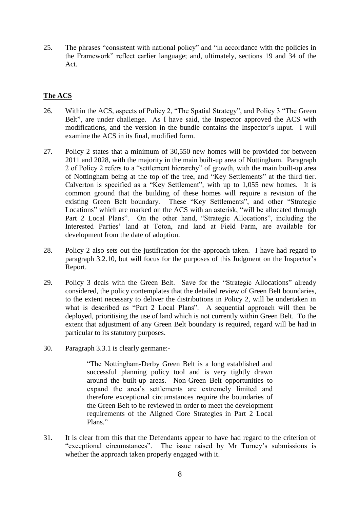25. The phrases "consistent with national policy" and "in accordance with the policies in the Framework" reflect earlier language; and, ultimately, sections 19 and 34 of the Act.

# **The ACS**

- 26. Within the ACS, aspects of Policy 2, "The Spatial Strategy", and Policy 3 "The Green Belt", are under challenge. As I have said, the Inspector approved the ACS with modifications, and the version in the bundle contains the Inspector's input. I will examine the ACS in its final, modified form.
- 27. Policy 2 states that a minimum of 30,550 new homes will be provided for between 2011 and 2028, with the majority in the main built-up area of Nottingham. Paragraph 2 of Policy 2 refers to a "settlement hierarchy" of growth, with the main built-up area of Nottingham being at the top of the tree, and "Key Settlements" at the third tier. Calverton is specified as a "Key Settlement", with up to 1,055 new homes. It is common ground that the building of these homes will require a revision of the existing Green Belt boundary. These "Key Settlements", and other "Strategic Locations" which are marked on the ACS with an asterisk, "will be allocated through Part 2 Local Plans". On the other hand, "Strategic Allocations", including the Interested Parties' land at Toton, and land at Field Farm, are available for development from the date of adoption.
- 28. Policy 2 also sets out the justification for the approach taken. I have had regard to paragraph 3.2.10, but will focus for the purposes of this Judgment on the Inspector's Report.
- 29. Policy 3 deals with the Green Belt. Save for the "Strategic Allocations" already considered, the policy contemplates that the detailed review of Green Belt boundaries, to the extent necessary to deliver the distributions in Policy 2, will be undertaken in what is described as "Part 2 Local Plans". A sequential approach will then be deployed, prioritising the use of land which is not currently within Green Belt. To the extent that adjustment of any Green Belt boundary is required, regard will be had in particular to its statutory purposes.
- 30. Paragraph 3.3.1 is clearly germane:-

"The Nottingham-Derby Green Belt is a long established and successful planning policy tool and is very tightly drawn around the built-up areas. Non-Green Belt opportunities to expand the area's settlements are extremely limited and therefore exceptional circumstances require the boundaries of the Green Belt to be reviewed in order to meet the development requirements of the Aligned Core Strategies in Part 2 Local Plans."

31. It is clear from this that the Defendants appear to have had regard to the criterion of "exceptional circumstances". The issue raised by Mr Turney's submissions is whether the approach taken properly engaged with it.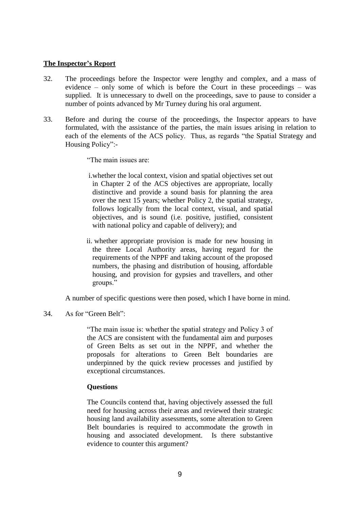#### **The Inspector's Report**

- 32. The proceedings before the Inspector were lengthy and complex, and a mass of evidence – only some of which is before the Court in these proceedings – was supplied. It is unnecessary to dwell on the proceedings, save to pause to consider a number of points advanced by Mr Turney during his oral argument.
- 33. Before and during the course of the proceedings, the Inspector appears to have formulated, with the assistance of the parties, the main issues arising in relation to each of the elements of the ACS policy. Thus, as regards "the Spatial Strategy and Housing Policy":-
	- "The main issues are:
	- i.whether the local context, vision and spatial objectives set out in Chapter 2 of the ACS objectives are appropriate, locally distinctive and provide a sound basis for planning the area over the next 15 years; whether Policy 2, the spatial strategy, follows logically from the local context, visual, and spatial objectives, and is sound (i.e. positive, justified, consistent with national policy and capable of delivery); and
	- ii. whether appropriate provision is made for new housing in the three Local Authority areas, having regard for the requirements of the NPPF and taking account of the proposed numbers, the phasing and distribution of housing, affordable housing, and provision for gypsies and travellers, and other groups."

A number of specific questions were then posed, which I have borne in mind.

## 34. As for "Green Belt":

"The main issue is: whether the spatial strategy and Policy 3 of the ACS are consistent with the fundamental aim and purposes of Green Belts as set out in the NPPF, and whether the proposals for alterations to Green Belt boundaries are underpinned by the quick review processes and justified by exceptional circumstances.

## **Questions**

The Councils contend that, having objectively assessed the full need for housing across their areas and reviewed their strategic housing land availability assessments, some alteration to Green Belt boundaries is required to accommodate the growth in housing and associated development. Is there substantive evidence to counter this argument?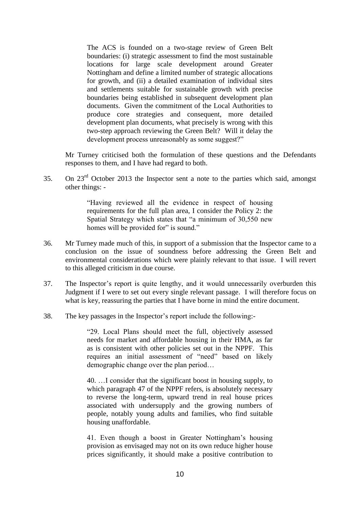The ACS is founded on a two-stage review of Green Belt boundaries: (i) strategic assessment to find the most sustainable locations for large scale development around Greater Nottingham and define a limited number of strategic allocations for growth, and (ii) a detailed examination of individual sites and settlements suitable for sustainable growth with precise boundaries being established in subsequent development plan documents. Given the commitment of the Local Authorities to produce core strategies and consequent, more detailed development plan documents, what precisely is wrong with this two-step approach reviewing the Green Belt? Will it delay the development process unreasonably as some suggest?"

Mr Turney criticised both the formulation of these questions and the Defendants responses to them, and I have had regard to both.

35. On 23rd October 2013 the Inspector sent a note to the parties which said, amongst other things: -

> "Having reviewed all the evidence in respect of housing requirements for the full plan area, I consider the Policy 2: the Spatial Strategy which states that "a minimum of 30,550 new homes will be provided for" is sound."

- 36. Mr Turney made much of this, in support of a submission that the Inspector came to a conclusion on the issue of soundness before addressing the Green Belt and environmental considerations which were plainly relevant to that issue. I will revert to this alleged criticism in due course.
- 37. The Inspector's report is quite lengthy, and it would unnecessarily overburden this Judgment if I were to set out every single relevant passage. I will therefore focus on what is key, reassuring the parties that I have borne in mind the entire document.
- 38. The key passages in the Inspector's report include the following:-

"29. Local Plans should meet the full, objectively assessed needs for market and affordable housing in their HMA, as far as is consistent with other policies set out in the NPPF. This requires an initial assessment of "need" based on likely demographic change over the plan period…

40. …I consider that the significant boost in housing supply, to which paragraph 47 of the NPPF refers, is absolutely necessary to reverse the long-term, upward trend in real house prices associated with undersupply and the growing numbers of people, notably young adults and families, who find suitable housing unaffordable.

41. Even though a boost in Greater Nottingham's housing provision as envisaged may not on its own reduce higher house prices significantly, it should make a positive contribution to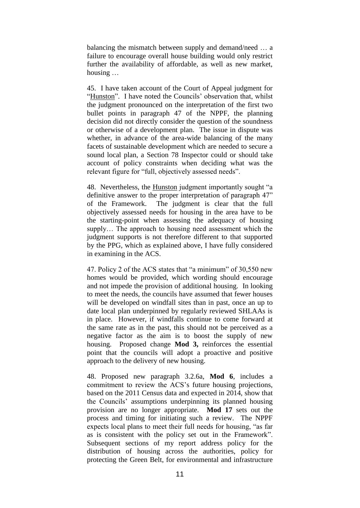balancing the mismatch between supply and demand/need … a failure to encourage overall house building would only restrict further the availability of affordable, as well as new market, housing …

45. I have taken account of the Court of Appeal judgment for "Hunston". I have noted the Councils' observation that, whilst the judgment pronounced on the interpretation of the first two bullet points in paragraph 47 of the NPPF, the planning decision did not directly consider the question of the soundness or otherwise of a development plan. The issue in dispute was whether, in advance of the area-wide balancing of the many facets of sustainable development which are needed to secure a sound local plan, a Section 78 Inspector could or should take account of policy constraints when deciding what was the relevant figure for "full, objectively assessed needs".

48. Nevertheless, the **Hunston** judgment importantly sought "a definitive answer to the proper interpretation of paragraph 47" of the Framework. The judgment is clear that the full objectively assessed needs for housing in the area have to be the starting-point when assessing the adequacy of housing supply… The approach to housing need assessment which the judgment supports is not therefore different to that supported by the PPG, which as explained above, I have fully considered in examining in the ACS.

47. Policy 2 of the ACS states that "a minimum" of 30,550 new homes would be provided, which wording should encourage and not impede the provision of additional housing. In looking to meet the needs, the councils have assumed that fewer houses will be developed on windfall sites than in past, once an up to date local plan underpinned by regularly reviewed SHLAAs is in place. However, if windfalls continue to come forward at the same rate as in the past, this should not be perceived as a negative factor as the aim is to boost the supply of new housing. Proposed change **Mod 3,** reinforces the essential point that the councils will adopt a proactive and positive approach to the delivery of new housing.

48. Proposed new paragraph 3.2.6a, **Mod 6**, includes a commitment to review the ACS's future housing projections, based on the 2011 Census data and expected in 2014, show that the Councils' assumptions underpinning its planned housing provision are no longer appropriate. **Mod 17** sets out the process and timing for initiating such a review. The NPPF expects local plans to meet their full needs for housing, "as far as is consistent with the policy set out in the Framework". Subsequent sections of my report address policy for the distribution of housing across the authorities, policy for protecting the Green Belt, for environmental and infrastructure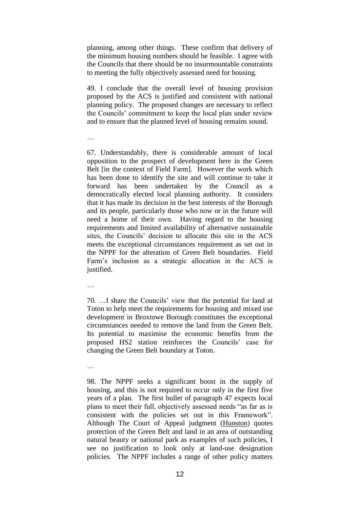planning, among other things. These confirm that delivery of the minimum housing numbers should be feasible. I agree with the Councils that there should be no insurmountable constraints to meeting the fully objectively assessed need for housing.

49. I conclude that the overall level of housing provision proposed by the ACS is justified and consistent with national planning policy. The proposed changes are necessary to reflect the Councils' commitment to keep the local plan under review and to ensure that the planned level of housing remains sound.

67. Understandably, there is considerable amount of local opposition to the prospect of development here in the Green Belt [in the context of Field Farm]. However the work which has been done to identify the site and will continue to take it forward has been undertaken by the Council as a democratically elected local planning authority. It considers that it has made its decision in the best interests of the Borough and its people, particularly those who now or in the future will need a home of their own. Having regard to the housing requirements and limited availability of alternative sustainable sites, the Councils' decision to allocate this site in the ACS meets the exceptional circumstances requirement as set out in the NPPF for the alteration of Green Belt boundaries. Field Farm's inclusion as a strategic allocation in the ACS is justified.

…

70. …I share the Councils' view that the potential for land at Toton to help meet the requirements for housing and mixed use development in Broxtowe Borough constitutes the exceptional circumstances needed to remove the land from the Green Belt. Its potential to maximise the economic benefits from the proposed HS2 station reinforces the Councils' case for changing the Green Belt boundary at Toton.

…

98. The NPPF seeks a significant boost in the supply of housing, and this is not required to occur only in the first five years of a plan. The first bullet of paragraph 47 expects local plans to meet their full, objectively assessed needs "as far as is consistent with the policies set out in this Framework". Although The Court of Appeal judgment (Hunston) quotes protection of the Green Belt and land in an area of outstanding natural beauty or national park as examples of such policies, I see no justification to look only at land-use designation policies. The NPPF includes a range of other policy matters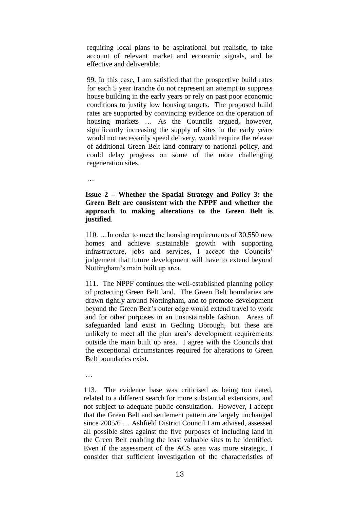requiring local plans to be aspirational but realistic, to take account of relevant market and economic signals, and be effective and deliverable.

99. In this case, I am satisfied that the prospective build rates for each 5 year tranche do not represent an attempt to suppress house building in the early years or rely on past poor economic conditions to justify low housing targets. The proposed build rates are supported by convincing evidence on the operation of housing markets … As the Councils argued, however, significantly increasing the supply of sites in the early years would not necessarily speed delivery, would require the release of additional Green Belt land contrary to national policy, and could delay progress on some of the more challenging regeneration sites.

…

# **Issue 2 – Whether the Spatial Strategy and Policy 3: the Green Belt are consistent with the NPPF and whether the approach to making alterations to the Green Belt is justified**.

110. …In order to meet the housing requirements of 30,550 new homes and achieve sustainable growth with supporting infrastructure, jobs and services, I accept the Councils' judgement that future development will have to extend beyond Nottingham's main built up area.

111. The NPPF continues the well-established planning policy of protecting Green Belt land. The Green Belt boundaries are drawn tightly around Nottingham, and to promote development beyond the Green Belt's outer edge would extend travel to work and for other purposes in an unsustainable fashion. Areas of safeguarded land exist in Gedling Borough, but these are unlikely to meet all the plan area's development requirements outside the main built up area. I agree with the Councils that the exceptional circumstances required for alterations to Green Belt boundaries exist.

…

113. The evidence base was criticised as being too dated, related to a different search for more substantial extensions, and not subject to adequate public consultation. However, I accept that the Green Belt and settlement pattern are largely unchanged since 2005/6 … Ashfield District Council I am advised, assessed all possible sites against the five purposes of including land in the Green Belt enabling the least valuable sites to be identified. Even if the assessment of the ACS area was more strategic, I consider that sufficient investigation of the characteristics of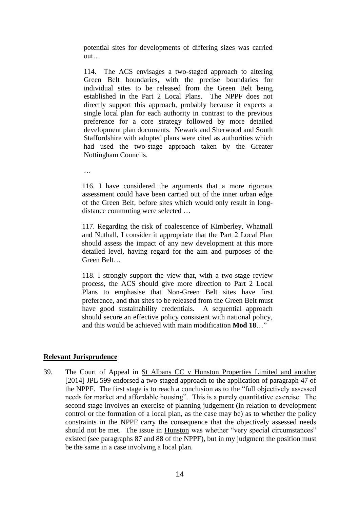potential sites for developments of differing sizes was carried out…

114. The ACS envisages a two-staged approach to altering Green Belt boundaries, with the precise boundaries for individual sites to be released from the Green Belt being established in the Part 2 Local Plans. The NPPF does not directly support this approach, probably because it expects a single local plan for each authority in contrast to the previous preference for a core strategy followed by more detailed development plan documents. Newark and Sherwood and South Staffordshire with adopted plans were cited as authorities which had used the two-stage approach taken by the Greater Nottingham Councils.

…

116. I have considered the arguments that a more rigorous assessment could have been carried out of the inner urban edge of the Green Belt, before sites which would only result in longdistance commuting were selected …

117. Regarding the risk of coalescence of Kimberley, Whatnall and Nuthall, I consider it appropriate that the Part 2 Local Plan should assess the impact of any new development at this more detailed level, having regard for the aim and purposes of the Green Belt…

118. I strongly support the view that, with a two-stage review process, the ACS should give more direction to Part 2 Local Plans to emphasise that Non-Green Belt sites have first preference, and that sites to be released from the Green Belt must have good sustainability credentials. A sequential approach should secure an effective policy consistent with national policy, and this would be achieved with main modification **Mod 18**…"

# **Relevant Jurisprudence**

39. The Court of Appeal in St Albans CC v Hunston Properties Limited and another [2014] JPL 599 endorsed a two-staged approach to the application of paragraph 47 of the NPPF. The first stage is to reach a conclusion as to the "full objectively assessed needs for market and affordable housing". This is a purely quantitative exercise. The second stage involves an exercise of planning judgement (in relation to development control or the formation of a local plan, as the case may be) as to whether the policy constraints in the NPPF carry the consequence that the objectively assessed needs should not be met. The issue in Hunston was whether "very special circumstances" existed (see paragraphs 87 and 88 of the NPPF), but in my judgment the position must be the same in a case involving a local plan.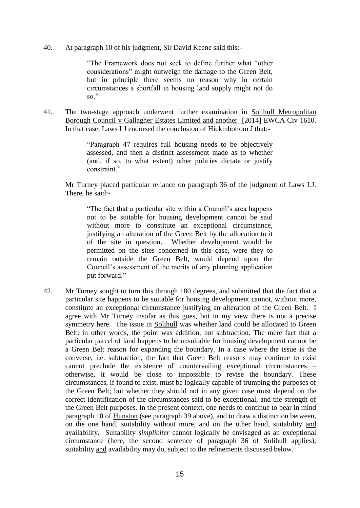40. At paragraph 10 of his judgment, Sir David Keene said this:-

"The Framework does not seek to define further what "other considerations" might outweigh the damage to the Green Belt, but in principle there seems no reason why in certain circumstances a shortfall in housing land supply might not do so."

41. The two-stage approach underwent further examination in Solihull Metropolitan Borough Council v Gallagher Estates Limited and another [2014] EWCA Civ 1610. In that case, Laws LJ endorsed the conclusion of Hickinbottom J that:-

> "Paragraph 47 requires full housing needs to be objectively assessed, and then a distinct assessment made as to whether (and, if so, to what extent) other policies dictate or justify constraint."

Mr Turney placed particular reliance on paragraph 36 of the judgment of Laws LJ. There, he said:-

"The fact that a particular site within a Council's area happens not to be suitable for housing development cannot be said without more to constitute an exceptional circumstance, justifying an alteration of the Green Belt by the allocation to it of the site in question. Whether development would be permitted on the sites concerned in this case, were they to remain outside the Green Belt, would depend upon the Council's assessment of the merits of any planning application put forward."

42. Mr Turney sought to turn this through 180 degrees, and submitted that the fact that a particular site happens to be suitable for housing development cannot, without more, constitute an exceptional circumstance justifying an alteration of the Green Belt. I agree with Mr Turney insofar as this goes, but in my view there is not a precise symmetry here. The issue in Solihull was whether land could be allocated to Green Belt: in other words, the point was addition, not subtraction. The mere fact that a particular parcel of land happens to be unsuitable for housing development cannot be a Green Belt reason for expanding the boundary. In a case where the issue is the converse, i.e. subtraction, the fact that Green Belt reasons may continue to exist cannot preclude the existence of countervailing exceptional circumstances – otherwise, it would be close to impossible to revise the boundary. These circumstances, if found to exist, must be logically capable of trumping the purposes of the Green Belt; but whether they should not in any given case must depend on the correct identification of the circumstances said to be exceptional, and the strength of the Green Belt purposes. In the present context, one needs to continue to bear in mind paragraph 10 of Hunston (see paragraph 39 above), and to draw a distinction between, on the one hand, suitability without more, and on the other hand, suitability and availability. Suitability *simpliciter* cannot logically be envisaged as an exceptional circumstance (here, the second sentence of paragraph 36 of Solihull applies); suitability and availability may do, subject to the refinements discussed below.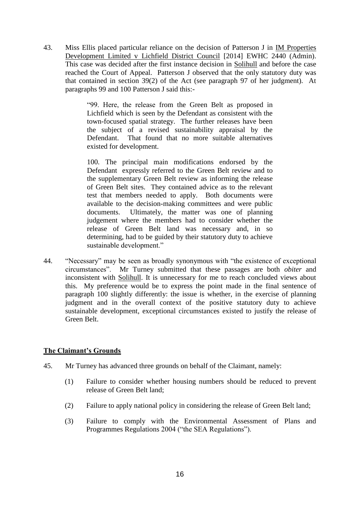43. Miss Ellis placed particular reliance on the decision of Patterson J in IM Properties Development Limited v Lichfield District Council [2014] EWHC 2440 (Admin). This case was decided after the first instance decision in Solihull and before the case reached the Court of Appeal. Patterson J observed that the only statutory duty was that contained in section 39(2) of the Act (see paragraph 97 of her judgment). At paragraphs 99 and 100 Patterson J said this:-

> "99. Here, the release from the Green Belt as proposed in Lichfield which is seen by the Defendant as consistent with the town-focused spatial strategy. The further releases have been the subject of a revised sustainability appraisal by the Defendant. That found that no more suitable alternatives existed for development.

> 100. The principal main modifications endorsed by the Defendant expressly referred to the Green Belt review and to the supplementary Green Belt review as informing the release of Green Belt sites. They contained advice as to the relevant test that members needed to apply. Both documents were available to the decision-making committees and were public documents. Ultimately, the matter was one of planning judgement where the members had to consider whether the release of Green Belt land was necessary and, in so determining, had to be guided by their statutory duty to achieve sustainable development."

44. "Necessary" may be seen as broadly synonymous with "the existence of exceptional circumstances". Mr Turney submitted that these passages are both *obiter* and inconsistent with Solihull. It is unnecessary for me to reach concluded views about this. My preference would be to express the point made in the final sentence of paragraph 100 slightly differently: the issue is whether, in the exercise of planning judgment and in the overall context of the positive statutory duty to achieve sustainable development, exceptional circumstances existed to justify the release of Green Belt.

# **The Claimant's Grounds**

- 45. Mr Turney has advanced three grounds on behalf of the Claimant, namely:
	- (1) Failure to consider whether housing numbers should be reduced to prevent release of Green Belt land;
	- (2) Failure to apply national policy in considering the release of Green Belt land;
	- (3) Failure to comply with the Environmental Assessment of Plans and Programmes Regulations 2004 ("the SEA Regulations").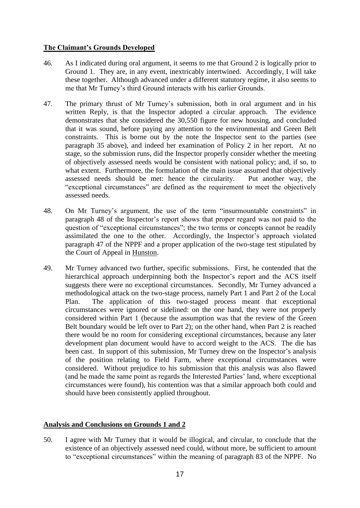# **The Claimant's Grounds Developed**

- 46. As I indicated during oral argument, it seems to me that Ground 2 is logically prior to Ground 1. They are, in any event, inextricably intertwined. Accordingly, I will take these together. Although advanced under a different statutory regime, it also seems to me that Mr Turney's third Ground interacts with his earlier Grounds.
- 47. The primary thrust of Mr Turney's submission, both in oral argument and in his written Reply, is that the Inspector adopted a circular approach. The evidence demonstrates that she considered the 30,550 figure for new housing, and concluded that it was sound, before paying any attention to the environmental and Green Belt constraints. This is borne out by the note the Inspector sent to the parties (see paragraph 35 above), and indeed her examination of Policy 2 in her report. At no stage, so the submission runs, did the Inspector properly consider whether the meeting of objectively assessed needs would be consistent with national policy; and, if so, to what extent. Furthermore, the formulation of the main issue assumed that objectively assessed needs should be met: hence the circularity. Put another way, the "exceptional circumstances" are defined as the requirement to meet the objectively assessed needs.
- 48. On Mr Turney's argument, the use of the term "insurmountable constraints" in paragraph 48 of the Inspector's report shows that proper regard was not paid to the question of "exceptional circumstances"; the two terms or concepts cannot be readily assimilated the one to the other. Accordingly, the Inspector's approach violated paragraph 47 of the NPPF and a proper application of the two-stage test stipulated by the Court of Appeal in Hunston.
- 49. Mr Turney advanced two further, specific submissions. First, he contended that the hierarchical approach underpinning both the Inspector's report and the ACS itself suggests there were no exceptional circumstances. Secondly, Mr Turney advanced a methodological attack on the two-stage process, namely Part 1 and Part 2 of the Local Plan. The application of this two-staged process meant that exceptional circumstances were ignored or sidelined: on the one hand, they were not properly considered within Part 1 (because the assumption was that the review of the Green Belt boundary would be left over to Part 2); on the other hand, when Part 2 is reached there would be no room for considering exceptional circumstances, because any later development plan document would have to accord weight to the ACS. The die has been cast. In support of this submission, Mr Turney drew on the Inspector's analysis of the position relating to Field Farm, where exceptional circumstances were considered. Without prejudice to his submission that this analysis was also flawed (and he made the same point as regards the Interested Parties' land, where exceptional circumstances were found), his contention was that a similar approach both could and should have been consistently applied throughout.

# **Analysis and Conclusions on Grounds 1 and 2**

50. I agree with Mr Turney that it would be illogical, and circular, to conclude that the existence of an objectively assessed need could, without more, be sufficient to amount to "exceptional circumstances" within the meaning of paragraph 83 of the NPPF. No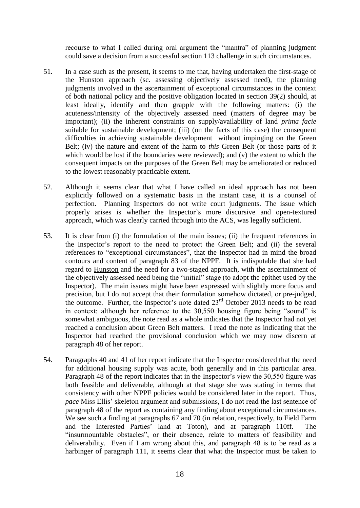recourse to what I called during oral argument the "mantra" of planning judgment could save a decision from a successful section 113 challenge in such circumstances.

- 51. In a case such as the present, it seems to me that, having undertaken the first-stage of the Hunston approach (sc. assessing objectively assessed need), the planning judgments involved in the ascertainment of exceptional circumstances in the context of both national policy and the positive obligation located in section 39(2) should, at least ideally, identify and then grapple with the following matters: (i) the acuteness/intensity of the objectively assessed need (matters of degree may be important); (ii) the inherent constraints on supply/availability of land *prima facie* suitable for sustainable development; (iii) (on the facts of this case) the consequent difficulties in achieving sustainable development without impinging on the Green Belt; (iv) the nature and extent of the harm to *this* Green Belt (or those parts of it which would be lost if the boundaries were reviewed); and (v) the extent to which the consequent impacts on the purposes of the Green Belt may be ameliorated or reduced to the lowest reasonably practicable extent.
- 52. Although it seems clear that what I have called an ideal approach has not been explicitly followed on a systematic basis in the instant case, it is a counsel of perfection. Planning Inspectors do not write court judgments. The issue which properly arises is whether the Inspector's more discursive and open-textured approach, which was clearly carried through into the ACS, was legally sufficient.
- 53. It is clear from (i) the formulation of the main issues; (ii) the frequent references in the Inspector's report to the need to protect the Green Belt; and (ii) the several references to "exceptional circumstances", that the Inspector had in mind the broad contours and content of paragraph 83 of the NPPF. It is indisputable that she had regard to Hunston and the need for a two-staged approach, with the ascertainment of the objectively assessed need being the "initial" stage (to adopt the epithet used by the Inspector). The main issues might have been expressed with slightly more focus and precision, but I do not accept that their formulation somehow dictated, or pre-judged, the outcome. Further, the Inspector's note dated  $23<sup>rd</sup>$  October 2013 needs to be read in context: although her reference to the 30,550 housing figure being "sound" is somewhat ambiguous, the note read as a whole indicates that the Inspector had not yet reached a conclusion about Green Belt matters. I read the note as indicating that the Inspector had reached the provisional conclusion which we may now discern at paragraph 48 of her report.
- 54. Paragraphs 40 and 41 of her report indicate that the Inspector considered that the need for additional housing supply was acute, both generally and in this particular area. Paragraph 48 of the report indicates that in the Inspector's view the 30,550 figure was both feasible and deliverable, although at that stage she was stating in terms that consistency with other NPPF policies would be considered later in the report. Thus, *pace* Miss Ellis' skeleton argument and submissions, I do not read the last sentence of paragraph 48 of the report as containing any finding about exceptional circumstances. We see such a finding at paragraphs 67 and 70 (in relation, respectively, to Field Farm and the Interested Parties' land at Toton), and at paragraph 110ff. The "insurmountable obstacles", or their absence, relate to matters of feasibility and deliverability. Even if I am wrong about this, and paragraph 48 is to be read as a harbinger of paragraph 111, it seems clear that what the Inspector must be taken to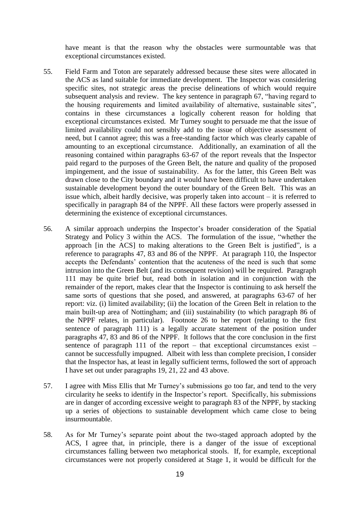have meant is that the reason why the obstacles were surmountable was that exceptional circumstances existed.

- 55. Field Farm and Toton are separately addressed because these sites were allocated in the ACS as land suitable for immediate development. The Inspector was considering specific sites, not strategic areas the precise delineations of which would require subsequent analysis and review. The key sentence in paragraph 67, "having regard to the housing requirements and limited availability of alternative, sustainable sites", contains in these circumstances a logically coherent reason for holding that exceptional circumstances existed. Mr Turney sought to persuade me that the issue of limited availability could not sensibly add to the issue of objective assessment of need, but I cannot agree; this was a free-standing factor which was clearly capable of amounting to an exceptional circumstance. Additionally, an examination of all the reasoning contained within paragraphs 63-67 of the report reveals that the Inspector paid regard to the purposes of the Green Belt, the nature and quality of the proposed impingement, and the issue of sustainability. As for the latter, this Green Belt was drawn close to the City boundary and it would have been difficult to have undertaken sustainable development beyond the outer boundary of the Green Belt. This was an issue which, albeit hardly decisive, was properly taken into account – it is referred to specifically in paragraph 84 of the NPPF. All these factors were properly assessed in determining the existence of exceptional circumstances.
- 56. A similar approach underpins the Inspector's broader consideration of the Spatial Strategy and Policy 3 within the ACS. The formulation of the issue, "whether the approach [in the ACS] to making alterations to the Green Belt is justified", is a reference to paragraphs 47, 83 and 86 of the NPPF. At paragraph 110, the Inspector accepts the Defendants' contention that the acuteness of the need is such that some intrusion into the Green Belt (and its consequent revision) will be required. Paragraph 111 may be quite brief but, read both in isolation and in conjunction with the remainder of the report, makes clear that the Inspector is continuing to ask herself the same sorts of questions that she posed, and answered, at paragraphs 63-67 of her report: viz. (i) limited availability; (ii) the location of the Green Belt in relation to the main built-up area of Nottingham; and (iii) sustainability (to which paragraph 86 of the NPPF relates, in particular). Footnote 26 to her report (relating to the first sentence of paragraph 111) is a legally accurate statement of the position under paragraphs 47, 83 and 86 of the NPPF. It follows that the core conclusion in the first sentence of paragraph 111 of the report – that exceptional circumstances exist – cannot be successfully impugned. Albeit with less than complete precision, I consider that the Inspector has, at least in legally sufficient terms, followed the sort of approach I have set out under paragraphs 19, 21, 22 and 43 above.
- 57. I agree with Miss Ellis that Mr Turney's submissions go too far, and tend to the very circularity he seeks to identify in the Inspector's report. Specifically, his submissions are in danger of according excessive weight to paragraph 83 of the NPPF, by stacking up a series of objections to sustainable development which came close to being insurmountable.
- 58. As for Mr Turney's separate point about the two-staged approach adopted by the ACS, I agree that, in principle, there is a danger of the issue of exceptional circumstances falling between two metaphorical stools. If, for example, exceptional circumstances were not properly considered at Stage 1, it would be difficult for the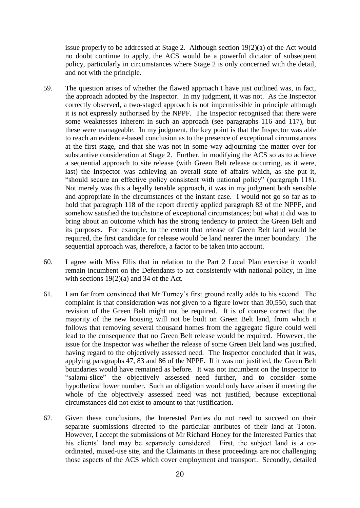issue properly to be addressed at Stage 2. Although section 19(2)(a) of the Act would no doubt continue to apply, the ACS would be a powerful dictator of subsequent policy, particularly in circumstances where Stage 2 is only concerned with the detail, and not with the principle.

- 59. The question arises of whether the flawed approach I have just outlined was, in fact, the approach adopted by the Inspector. In my judgment, it was not. As the Inspector correctly observed, a two-staged approach is not impermissible in principle although it is not expressly authorised by the NPPF. The Inspector recognised that there were some weaknesses inherent in such an approach (see paragraphs 116 and 117), but these were manageable. In my judgment, the key point is that the Inspector was able to reach an evidence-based conclusion as to the presence of exceptional circumstances at the first stage, and that she was not in some way adjourning the matter over for substantive consideration at Stage 2. Further, in modifying the ACS so as to achieve a sequential approach to site release (with Green Belt release occurring, as it were, last) the Inspector was achieving an overall state of affairs which, as she put it, "should secure an effective policy consistent with national policy" (paragraph 118). Not merely was this a legally tenable approach, it was in my judgment both sensible and appropriate in the circumstances of the instant case. I would not go so far as to hold that paragraph 118 of the report directly applied paragraph 83 of the NPPF, and somehow satisfied the touchstone of exceptional circumstances; but what it did was to bring about an outcome which has the strong tendency to protect the Green Belt and its purposes. For example, to the extent that release of Green Belt land would be required, the first candidate for release would be land nearer the inner boundary. The sequential approach was, therefore, a factor to be taken into account.
- 60. I agree with Miss Ellis that in relation to the Part 2 Local Plan exercise it would remain incumbent on the Defendants to act consistently with national policy, in line with sections 19(2)(a) and 34 of the Act.
- 61. I am far from convinced that Mr Turney's first ground really adds to his second. The complaint is that consideration was not given to a figure lower than 30,550, such that revision of the Green Belt might not be required. It is of course correct that the majority of the new housing will not be built on Green Belt land, from which it follows that removing several thousand homes from the aggregate figure could well lead to the consequence that no Green Belt release would be required. However, the issue for the Inspector was whether the release of some Green Belt land was justified, having regard to the objectively assessed need. The Inspector concluded that it was, applying paragraphs 47, 83 and 86 of the NPPF. If it was not justified, the Green Belt boundaries would have remained as before. It was not incumbent on the Inspector to "salami-slice" the objectively assessed need further, and to consider some hypothetical lower number. Such an obligation would only have arisen if meeting the whole of the objectively assessed need was not justified, because exceptional circumstances did not exist to amount to that justification.
- 62. Given these conclusions, the Interested Parties do not need to succeed on their separate submissions directed to the particular attributes of their land at Toton. However, I accept the submissions of Mr Richard Honey for the Interested Parties that his clients' land may be separately considered. First, the subject land is a coordinated, mixed-use site, and the Claimants in these proceedings are not challenging those aspects of the ACS which cover employment and transport. Secondly, detailed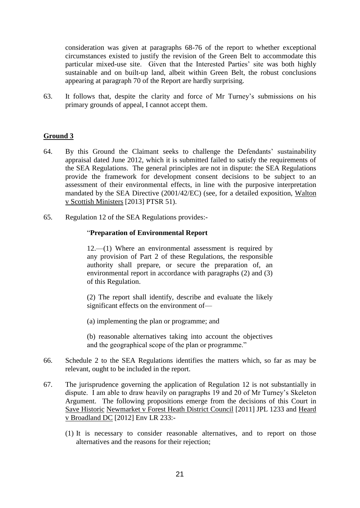consideration was given at paragraphs 68-76 of the report to whether exceptional circumstances existed to justify the revision of the Green Belt to accommodate this particular mixed-use site. Given that the Interested Parties' site was both highly sustainable and on built-up land, albeit within Green Belt, the robust conclusions appearing at paragraph 70 of the Report are hardly surprising.

63. It follows that, despite the clarity and force of Mr Turney's submissions on his primary grounds of appeal, I cannot accept them.

# **Ground 3**

- 64. By this Ground the Claimant seeks to challenge the Defendants' sustainability appraisal dated June 2012, which it is submitted failed to satisfy the requirements of the SEA Regulations. The general principles are not in dispute: the SEA Regulations provide the framework for development consent decisions to be subject to an assessment of their environmental effects, in line with the purposive interpretation mandated by the SEA Directive (2001/42/EC) (see, for a detailed exposition, Walton v Scottish Ministers [2013] PTSR 51).
- 65. Regulation 12 of the SEA Regulations provides:-

# "**Preparation of Environmental Report**

12.—(1) Where an environmental assessment is required by any provision of Part 2 of these Regulations, the responsible authority shall prepare, or secure the preparation of, an environmental report in accordance with paragraphs (2) and (3) of this Regulation.

(2) The report shall identify, describe and evaluate the likely significant effects on the environment of—

(a) implementing the plan or programme; and

(b) reasonable alternatives taking into account the objectives and the geographical scope of the plan or programme."

- 66. Schedule 2 to the SEA Regulations identifies the matters which, so far as may be relevant, ought to be included in the report.
- 67. The jurisprudence governing the application of Regulation 12 is not substantially in dispute. I am able to draw heavily on paragraphs 19 and 20 of Mr Turney's Skeleton Argument. The following propositions emerge from the decisions of this Court in Save Historic Newmarket v Forest Heath District Council [2011] JPL 1233 and Heard v Broadland DC [2012] Env LR 233:-
	- (1) It is necessary to consider reasonable alternatives, and to report on those alternatives and the reasons for their rejection;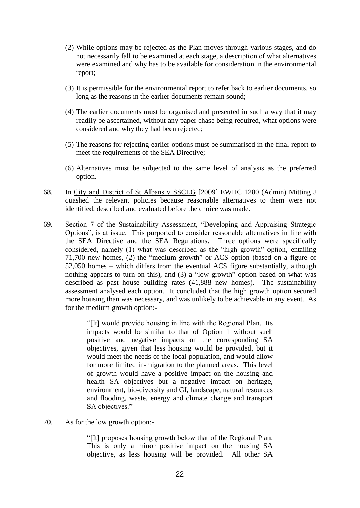- (2) While options may be rejected as the Plan moves through various stages, and do not necessarily fall to be examined at each stage, a description of what alternatives were examined and why has to be available for consideration in the environmental report;
- (3) It is permissible for the environmental report to refer back to earlier documents, so long as the reasons in the earlier documents remain sound;
- (4) The earlier documents must be organised and presented in such a way that it may readily be ascertained, without any paper chase being required, what options were considered and why they had been rejected;
- (5) The reasons for rejecting earlier options must be summarised in the final report to meet the requirements of the SEA Directive;
- (6) Alternatives must be subjected to the same level of analysis as the preferred option.
- 68. In City and District of St Albans v SSCLG [2009] EWHC 1280 (Admin) Mitting J quashed the relevant policies because reasonable alternatives to them were not identified, described and evaluated before the choice was made.
- 69. Section 7 of the Sustainability Assessment, "Developing and Appraising Strategic Options", is at issue. This purported to consider reasonable alternatives in line with the SEA Directive and the SEA Regulations. Three options were specifically considered, namely (1) what was described as the "high growth" option, entailing 71,700 new homes, (2) the "medium growth" or ACS option (based on a figure of 52,050 homes – which differs from the eventual ACS figure substantially, although nothing appears to turn on this), and (3) a "low growth" option based on what was described as past house building rates (41,888 new homes). The sustainability assessment analysed each option. It concluded that the high growth option secured more housing than was necessary, and was unlikely to be achievable in any event. As for the medium growth option:-

"[It] would provide housing in line with the Regional Plan. Its impacts would be similar to that of Option 1 without such positive and negative impacts on the corresponding SA objectives, given that less housing would be provided, but it would meet the needs of the local population, and would allow for more limited in-migration to the planned areas. This level of growth would have a positive impact on the housing and health SA objectives but a negative impact on heritage, environment, bio-diversity and GI, landscape, natural resources and flooding, waste, energy and climate change and transport SA objectives."

70. As for the low growth option:-

"[It] proposes housing growth below that of the Regional Plan. This is only a minor positive impact on the housing SA objective, as less housing will be provided. All other SA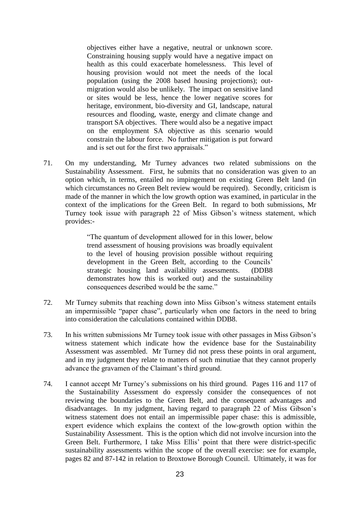objectives either have a negative, neutral or unknown score. Constraining housing supply would have a negative impact on health as this could exacerbate homelessness. This level of housing provision would not meet the needs of the local population (using the 2008 based housing projections); outmigration would also be unlikely. The impact on sensitive land or sites would be less, hence the lower negative scores for heritage, environment, bio-diversity and GI, landscape, natural resources and flooding, waste, energy and climate change and transport SA objectives. There would also be a negative impact on the employment SA objective as this scenario would constrain the labour force. No further mitigation is put forward and is set out for the first two appraisals."

71. On my understanding, Mr Turney advances two related submissions on the Sustainability Assessment. First, he submits that no consideration was given to an option which, in terms, entailed no impingement on existing Green Belt land (in which circumstances no Green Belt review would be required). Secondly, criticism is made of the manner in which the low growth option was examined, in particular in the context of the implications for the Green Belt. In regard to both submissions, Mr Turney took issue with paragraph 22 of Miss Gibson's witness statement, which provides:-

> "The quantum of development allowed for in this lower, below trend assessment of housing provisions was broadly equivalent to the level of housing provision possible without requiring development in the Green Belt, according to the Councils' strategic housing land availability assessments. (DDB8 demonstrates how this is worked out) and the sustainability consequences described would be the same."

- 72. Mr Turney submits that reaching down into Miss Gibson's witness statement entails an impermissible "paper chase", particularly when one factors in the need to bring into consideration the calculations contained within DDB8.
- 73. In his written submissions Mr Turney took issue with other passages in Miss Gibson's witness statement which indicate how the evidence base for the Sustainability Assessment was assembled. Mr Turney did not press these points in oral argument, and in my judgment they relate to matters of such minutiae that they cannot properly advance the gravamen of the Claimant's third ground.
- 74. I cannot accept Mr Turney's submissions on his third ground. Pages 116 and 117 of the Sustainability Assessment do expressly consider the consequences of not reviewing the boundaries to the Green Belt, and the consequent advantages and disadvantages. In my judgment, having regard to paragraph 22 of Miss Gibson's witness statement does not entail an impermissible paper chase: this is admissible, expert evidence which explains the context of the low-growth option within the Sustainability Assessment. This is the option which did not involve incursion into the Green Belt. Furthermore, I take Miss Ellis' point that there were district-specific sustainability assessments within the scope of the overall exercise: see for example, pages 82 and 87-142 in relation to Broxtowe Borough Council. Ultimately, it was for